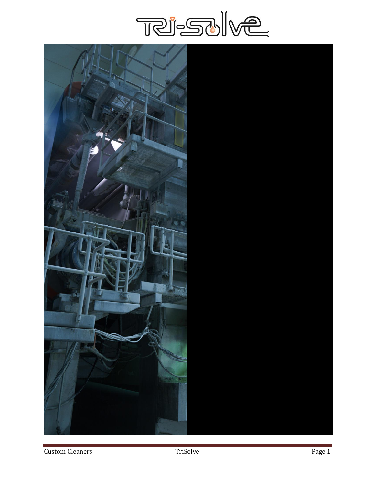

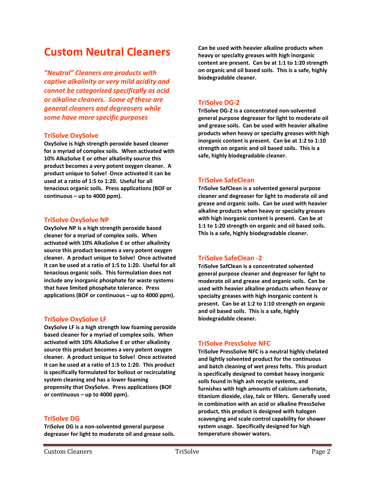## **Custom Neutral Cleaners**

*"Neutral" Cleaners are products with captive alkalinity or very mild acidity and cannot be categorized specifically as acid or alkaline cleaners. Some of these are general cleaners and degreasers while some have more specific purposes*

#### **TriSolve OxySolve**

**OxySolve is high strength peroxide based cleaner for a myriad of complex soils. When activated with 10% AlkaSolve E or other alkalinity source this product becomes a very potent oxygen cleaner. A product unique to Solve! Once activated it can be used at a ratio of 1:5 to 1:20. Useful for all tenacious organic soils. Press applications (BOF or continuous – up to 4000 ppm).**

#### **TriSolve OxySolve NP**

**OxySolve NP is a high strength peroxide based cleaner for a myriad of complex soils. When activated with 10% AlkaSolve E or other alkalinity source this product becomes a very potent oxygen cleaner. A product unique to Solve! Once activated it can be used at a ratio of 1:5 to 1:20. Useful for all tenacious organic soils. This formulation does not include any inorganic phosphate for waste systems that have limited phosphate tolerance. Press applications (BOF or continuous – up to 4000 ppm).**

## **TriSolve OxySolve LF**

**OxySolve LF is a high strength low foaming peroxide based cleaner for a myriad of complex soils. When activated with 10% AlkaSolve E or other alkalinity source this product becomes a very potent oxygen cleaner. A product unique to Solve! Once activated it can be used at a ratio of 1:5 to 1:20. This product is specifically formulated for boilout or recirculating system cleaning and has a lower foaming propensity that OxySolve. Press applications (BOF or continuous – up to 4000 ppm).** 

## **TriSolve DG**

**TriSolve DG is a non-solvented general purpose degreaser for light to moderate oil and grease soils.** 

**Can be used with heavier alkaline products when heavy or specialty greases with high inorganic content are present. Can be at 1:1 to 1:20 strength on organic and oil based soils. This is a safe, highly biodegradable cleaner.**

## **TriSolve DG-2**

**TriSolve DG-2 is a concentrated non-solvented general purpose degreaser for light to moderate oil and grease soils. Can be used with heavier alkaline products when heavy or specialty greases with high inorganic content is present. Can be at 1:2 to 1:10 strength on organic and oil based soils. This is a safe, highly biodegradable cleaner.**

## **TriSolve SafeClean**

**TriSolve SafClean is a solvented general purpose cleaner and degreaser for light to moderate oil and grease and organic soils. Can be used with heavier alkaline products when heavy or specialty greases with high inorganic content is present. Can be at 1:1 to 1:20 strength on organic and oil based soils. This is a safe, highly biodegradable cleaner.**

## **TriSolve SafeClean -2**

**TriSolve SafClean is a concentrated solvented general purpose cleaner and degreaser for light to moderate oil and grease and organic soils. Can be used with heavier alkaline products when heavy or specialty greases with high inorganic content is present. Can be at 1:2 to 1:10 strength on organic and oil based soils. This is a safe, highly biodegradable cleaner.**

## **TriSolve PressSolve NFC**

**TriSolve PressSolve NFC is a neutral highly chelated and lightly solvented product for the continuous and batch cleaning of wet press felts. This product is specifically designed to combat heavy inorganic soils found in high ash recycle systems, and furnishes with high amounts of calcium carbonate, titanium dioxide, clay, talc or fillers. Generally used in combination with an acid or alkaline PressSolve product, this product is designed with halogen scavenging and scale control capability for shower system usage. Specifically designed for high temperature shower waters.**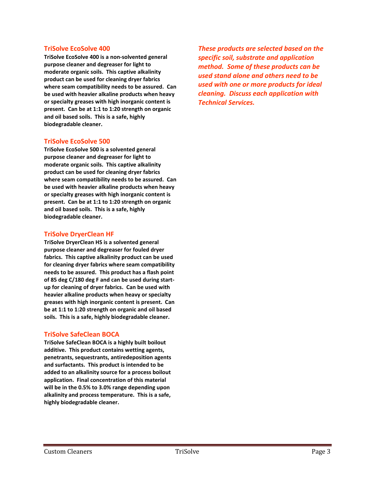## **TriSolve EcoSolve 400**

**TriSolve EcoSolve 400 is a non-solvented general purpose cleaner and degreaser for light to moderate organic soils. This captive alkalinity product can be used for cleaning dryer fabrics where seam compatibility needs to be assured. Can be used with heavier alkaline products when heavy or specialty greases with high inorganic content is present. Can be at 1:1 to 1:20 strength on organic and oil based soils. This is a safe, highly biodegradable cleaner.**

## **TriSolve EcoSolve 500**

**TriSolve EcoSolve 500 is a solvented general purpose cleaner and degreaser for light to moderate organic soils. This captive alkalinity product can be used for cleaning dryer fabrics where seam compatibility needs to be assured. Can be used with heavier alkaline products when heavy or specialty greases with high inorganic content is present. Can be at 1:1 to 1:20 strength on organic and oil based soils. This is a safe, highly biodegradable cleaner.**

## **TriSolve DryerClean HF**

**TriSolve DryerClean HS is a solvented general purpose cleaner and degreaser for fouled dryer fabrics. This captive alkalinity product can be used for cleaning dryer fabrics where seam compatibility needs to be assured. This product has a flash point of 85 deg C/180 deg F and can be used during startup for cleaning of dryer fabrics. Can be used with heavier alkaline products when heavy or specialty greases with high inorganic content is present. Can be at 1:1 to 1:20 strength on organic and oil based soils. This is a safe, highly biodegradable cleaner.**

## **TriSolve SafeClean BOCA**

**TriSolve SafeClean BOCA is a highly built boilout additive. This product contains wetting agents, penetrants, sequestrants, antiredeposition agents and surfactants. This product is intended to be added to an alkalinity source for a process boilout application. Final concentration of this material will be in the 0.5% to 3.0% range depending upon alkalinity and process temperature. This is a safe, highly biodegradable cleaner.**

*These products are selected based on the specific soil, substrate and application method. Some of these products can be used stand alone and others need to be used with one or more products for ideal cleaning. Discuss each application with Technical Services.*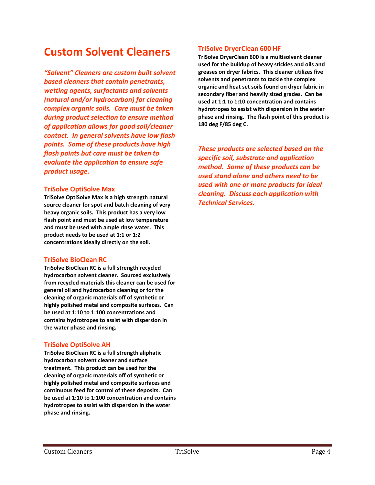## **Custom Solvent Cleaners**

*"Solvent" Cleaners are custom built solvent based cleaners that contain penetrants, wetting agents, surfactants and solvents (natural and/or hydrocarbon) for cleaning complex organic soils. Care must be taken during product selection to ensure method of application allows for good soil/cleaner contact. In general solvents have low flash points. Some of these products have high flash points but care must be taken to evaluate the application to ensure safe product usage.*

#### **TriSolve OptiSolve Max**

**TriSolve OptiSolve Max is a high strength natural source cleaner for spot and batch cleaning of very heavy organic soils. This product has a very low flash point and must be used at low temperature and must be used with ample rinse water. This product needs to be used at 1:1 or 1:2 concentrations ideally directly on the soil.**

## **TriSolve BioClean RC**

**TriSolve BioClean RC is a full strength recycled hydrocarbon solvent cleaner. Sourced exclusively from recycled materials this cleaner can be used for general oil and hydrocarbon cleaning or for the cleaning of organic materials off of synthetic or highly polished metal and composite surfaces. Can be used at 1:10 to 1:100 concentrations and contains hydrotropes to assist with dispersion in the water phase and rinsing.**

## **TriSolve OptiSolve AH**

**TriSolve BioClean RC is a full strength aliphatic hydrocarbon solvent cleaner and surface treatment. This product can be used for the cleaning of organic materials off of synthetic or highly polished metal and composite surfaces and continuous feed for control of these deposits. Can be used at 1:10 to 1:100 concentration and contains hydrotropes to assist with dispersion in the water phase and rinsing.**

## **TriSolve DryerClean 600 HF**

**TriSolve DryerClean 600 is a multisolvent cleaner used for the buildup of heavy stickies and oils and greases on dryer fabrics. This cleaner utilizes five solvents and penetrants to tackle the complex organic and heat set soils found on dryer fabric in secondary fiber and heavily sized grades. Can be used at 1:1 to 1:10 concentration and contains hydrotropes to assist with dispersion in the water phase and rinsing. The flash point of this product is 180 deg F/85 deg C.**

*These products are selected based on the specific soil, substrate and application method. Some of these products can be used stand alone and others need to be used with one or more products for ideal cleaning. Discuss each application with Technical Services.*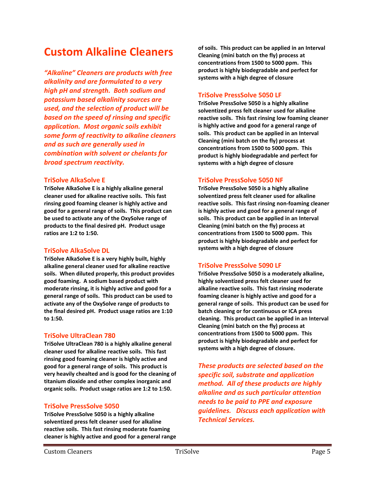## **Custom Alkaline Cleaners**

*"Alkaline" Cleaners are products with free alkalinity and are formulated to a very high pH and strength. Both sodium and potassium based alkalinity sources are used, and the selection of product will be based on the speed of rinsing and specific application. Most organic soils exhibit some form of reactivity to alkaline cleaners and as such are generally used in combination with solvent or chelants for broad spectrum reactivity.*

#### **TriSolve AlkaSolve E**

**TriSolve AlkaSolve E is a highly alkaline general cleaner used for alkaline reactive soils. This fast rinsing good foaming cleaner is highly active and good for a general range of soils. This product can be used to activate any of the OxySolve range of products to the final desired pH. Product usage ratios are 1:2 to 1:50.**

## **TriSolve AlkaSolve DL**

**TriSolve AlkaSolve E is a very highly built, highly alkaline general cleaner used for alkaline reactive soils. When diluted properly, this product provides good foaming. A sodium based product with moderate rinsing, it is highly active and good for a general range of soils. This product can be used to activate any of the OxySolve range of products to the final desired pH. Product usage ratios are 1:10 to 1:50.**

#### **TriSolve UltraClean 780**

**TriSolve UltraClean 780 is a highly alkaline general cleaner used for alkaline reactive soils. This fast rinsing good foaming cleaner is highly active and good for a general range of soils. This product is very heavily chealted and is good for the cleaning of titanium dioxide and other complex inorganic and organic soils. Product usage ratios are 1:2 to 1:50.**

## **TriSolve PressSolve 5050**

**TriSolve PressSolve 5050 is a highly alkaline solventized press felt cleaner used for alkaline reactive soils. This fast rinsing moderate foaming cleaner is highly active and good for a general range** 

**of soils. This product can be applied in an Interval Cleaning (mini batch on the fly) process at concentrations from 1500 to 5000 ppm. This product is highly biodegradable and perfect for systems with a high degree of closure**

#### **TriSolve PressSolve 5050 LF**

**TriSolve PressSolve 5050 is a highly alkaline solventized press felt cleaner used for alkaline reactive soils. This fast rinsing low foaming cleaner is highly active and good for a general range of soils. This product can be applied in an Interval Cleaning (mini batch on the fly) process at concentrations from 1500 to 5000 ppm. This product is highly biodegradable and perfect for systems with a high degree of closure**

## **TriSolve PressSolve 5050 NF**

**TriSolve PressSolve 5050 is a highly alkaline solventized press felt cleaner used for alkaline reactive soils. This fast rinsing non-foaming cleaner is highly active and good for a general range of soils. This product can be applied in an Interval Cleaning (mini batch on the fly) process at concentrations from 1500 to 5000 ppm. This product is highly biodegradable and perfect for systems with a high degree of closure**

#### **TriSolve PressSolve 5090 LF**

**TriSolve PressSolve 5050 is a moderately alkaline, highly solventized press felt cleaner used for alkaline reactive soils. This fast rinsing moderate foaming cleaner is highly active and good for a general range of soils. This product can be used for batch cleaning or for continuous or ICA press cleaning. This product can be applied in an Interval Cleaning (mini batch on the fly) process at concentrations from 1500 to 5000 ppm. This product is highly biodegradable and perfect for systems with a high degree of closure.**

*These products are selected based on the specific soil, substrate and application method. All of these products are highly alkaline and as such particular attention needs to be paid to PPE and exposure guidelines. Discuss each application with Technical Services.*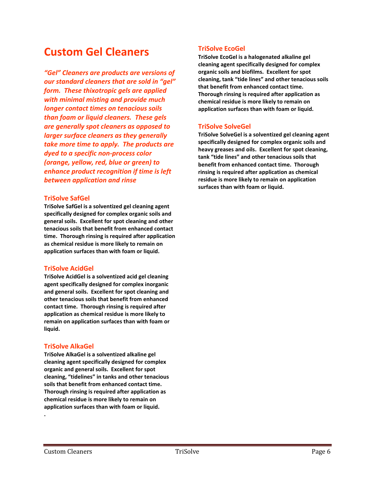## **Custom Gel Cleaners**

*"Gel" Cleaners are products are versions of our standard cleaners that are sold in "gel" form. These thixotropic gels are applied with minimal misting and provide much longer contact times on tenacious soils than foam or liquid cleaners. These gels are generally spot cleaners as opposed to larger surface cleaners as they generally take more time to apply. The products are dyed to a specific non-process color (orange, yellow, red, blue or green) to enhance product recognition if time is left between application and rinse*

#### **TriSolve SafGel**

**TriSolve SafGel is a solventized gel cleaning agent specifically designed for complex organic soils and general soils. Excellent for spot cleaning and other tenacious soils that benefit from enhanced contact time. Thorough rinsing is required after application as chemical residue is more likely to remain on application surfaces than with foam or liquid.**

#### **TriSolve AcidGel**

**TriSolve AcidGel is a solventized acid gel cleaning agent specifically designed for complex inorganic and general soils. Excellent for spot cleaning and other tenacious soils that benefit from enhanced contact time. Thorough rinsing is required after application as chemical residue is more likely to remain on application surfaces than with foam or liquid.**

## **TriSolve AlkaGel**

**TriSolve AlkaGel is a solventized alkaline gel cleaning agent specifically designed for complex organic and general soils. Excellent for spot cleaning, "tidelines" in tanks and other tenacious soils that benefit from enhanced contact time. Thorough rinsing is required after application as chemical residue is more likely to remain on application surfaces than with foam or liquid.**

## **TriSolve EcoGel**

**TriSolve EcoGel is a halogenated alkaline gel cleaning agent specifically designed for complex organic soils and biofilms. Excellent for spot cleaning, tank "tide lines" and other tenacious soils that benefit from enhanced contact time. Thorough rinsing is required after application as chemical residue is more likely to remain on application surfaces than with foam or liquid.**

## **TriSolve SolveGel**

**TriSolve SolveGel is a solventized gel cleaning agent specifically designed for complex organic soils and heavy greases and oils. Excellent for spot cleaning, tank "tide lines" and other tenacious soils that benefit from enhanced contact time. Thorough rinsing is required after application as chemical residue is more likely to remain on application surfaces than with foam or liquid.**

**.**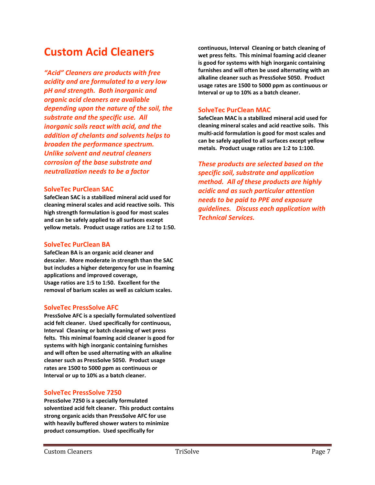## **Custom Acid Cleaners**

*"Acid" Cleaners are products with free acidity and are formulated to a very low pH and strength. Both inorganic and organic acid cleaners are available depending upon the nature of the soil, the substrate and the specific use. All inorganic soils react with acid, and the addition of chelants and solvents helps to broaden the performance spectrum. Unlike solvent and neutral cleaners corrosion of the base substrate and neutralization needs to be a factor*

#### **SolveTec PurClean SAC**

**SafeClean SAC is a stabilized mineral acid used for cleaning mineral scales and acid reactive soils. This high strength formulation is good for most scales and can be safely applied to all surfaces except yellow metals. Product usage ratios are 1:2 to 1:50.**

#### **SolveTec PurClean BA**

**SafeClean BA is an organic acid cleaner and descaler. More moderate in strength than the SAC but includes a higher detergency for use in foaming applications and improved coverage, Usage ratios are 1:5 to 1:50. Excellent for the removal of barium scales as well as calcium scales.**

## **SolveTec PressSolve AFC**

**PressSolve AFC is a specially formulated solventized acid felt cleaner. Used specifically for continuous, Interval Cleaning or batch cleaning of wet press felts. This minimal foaming acid cleaner is good for systems with high inorganic containing furnishes and will often be used alternating with an alkaline cleaner such as PressSolve 5050. Product usage rates are 1500 to 5000 ppm as continuous or Interval or up to 10% as a batch cleaner.**

## **SolveTec PressSolve 7250**

**PressSolve 7250 is a specially formulated solventized acid felt cleaner. This product contains strong organic acids than PressSolve AFC for use with heavily buffered shower waters to minimize product consumption. Used specifically for** 

**continuous, Interval Cleaning or batch cleaning of wet press felts. This minimal foaming acid cleaner is good for systems with high inorganic containing furnishes and will often be used alternating with an alkaline cleaner such as PressSolve 5050. Product usage rates are 1500 to 5000 ppm as continuous or Interval or up to 10% as a batch cleaner.** 

## **SolveTec PurClean MAC**

**SafeClean MAC is a stabilized mineral acid used for cleaning mineral scales and acid reactive soils. This multi-acid formulation is good for most scales and can be safely applied to all surfaces except yellow metals. Product usage ratios are 1:2 to 1:100.**

*These products are selected based on the specific soil, substrate and application method. All of these products are highly acidic and as such particular attention needs to be paid to PPE and exposure guidelines. Discuss each application with Technical Services.*